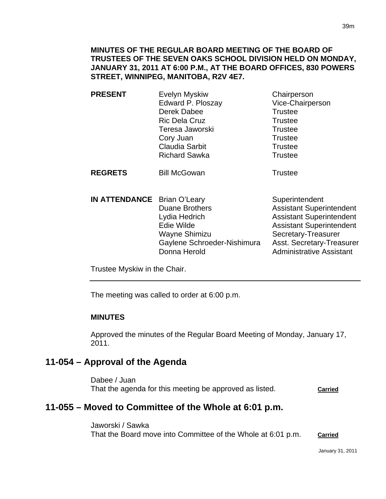**MINUTES OF THE REGULAR BOARD MEETING OF THE BOARD OF TRUSTEES OF THE SEVEN OAKS SCHOOL DIVISION HELD ON MONDAY, JANUARY 31, 2011 AT 6:00 P.M., AT THE BOARD OFFICES, 830 POWERS STREET, WINNIPEG, MANITOBA, R2V 4E7.** 

**PRESENT** Evelyn Myskiw Chairperson Edward P. Ploszay Vice-Chairperson Derek Dabee Trustee Ric Dela Cruz Trustee Teresa Jaworski **Trustee** Cory Juan Trustee Claudia Sarbit **Trustee** Richard Sawka **Trustee** 

**REGRETS** Bill McGowan **Trustee** 

**IN ATTENDANCE** Brian O'Leary Superintendent Duane Brothers **Assistant Superintendent** Lydia Hedrich **Assistant Superintendent** Edie Wilde **Assistant Superintendent** Wayne Shimizu Secretary-Treasurer Gaylene Schroeder-Nishimura Asst. Secretary-Treasurer Donna Herold **Administrative Assistant** 

Trustee Myskiw in the Chair.

The meeting was called to order at 6:00 p.m.

#### **MINUTES**

I

Approved the minutes of the Regular Board Meeting of Monday, January 17, 2011.

# **11-054 – Approval of the Agenda**

Dabee / Juan That the agenda for this meeting be approved as listed. **Carried**

# **11-055 – Moved to Committee of the Whole at 6:01 p.m.**

Jaworski / Sawka That the Board move into Committee of the Whole at 6:01 p.m. **Carried**

January 31, 2011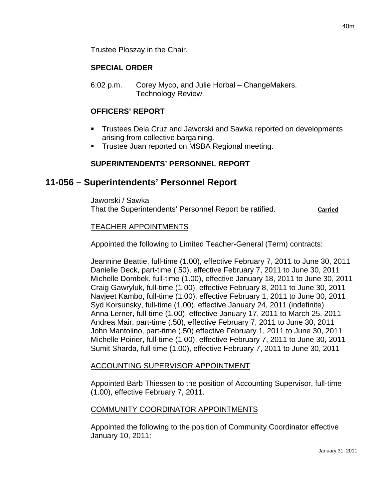## **SPECIAL ORDER**

6:02 p.m. Corey Myco, and Julie Horbal – ChangeMakers. Technology Review.

## **OFFICERS' REPORT**

- Trustees Dela Cruz and Jaworski and Sawka reported on developments arising from collective bargaining.
- **Trustee Juan reported on MSBA Regional meeting.**

# **SUPERINTENDENTS' PERSONNEL REPORT**

# **11-056 – Superintendents' Personnel Report**

Jaworski / Sawka That the Superintendents' Personnel Report be ratified. **Carried**

### TEACHER APPOINTMENTS

Appointed the following to Limited Teacher-General (Term) contracts:

Jeannine Beattie, full-time (1.00), effective February 7, 2011 to June 30, 2011 Danielle Deck, part-time (.50), effective February 7, 2011 to June 30, 2011 Michelle Dombek, full-time (1.00), effective January 18, 2011 to June 30, 2011 Craig Gawryluk, full-time (1.00), effective February 8, 2011 to June 30, 2011 Navjeet Kambo, full-time (1.00), effective February 1, 2011 to June 30, 2011 Syd Korsunsky, full-time (1.00), effective January 24, 2011 (indefinite) Anna Lerner, full-time (1.00), effective January 17, 2011 to March 25, 2011 Andrea Mair, part-time (.50), effective February 7, 2011 to June 30, 2011 John Mantolino, part-time (.50) effective February 1, 2011 to June 30, 2011 Michelle Poirier, full-time (1.00), effective February 7, 2011 to June 30, 2011 Sumit Sharda, full-time (1.00), effective February 7, 2011 to June 30, 2011

### ACCOUNTING SUPERVISOR APPOINTMENT

Appointed Barb Thiessen to the position of Accounting Supervisor, full-time (1.00), effective February 7, 2011.

### COMMUNITY COORDINATOR APPOINTMENTS

Appointed the following to the position of Community Coordinator effective January 10, 2011: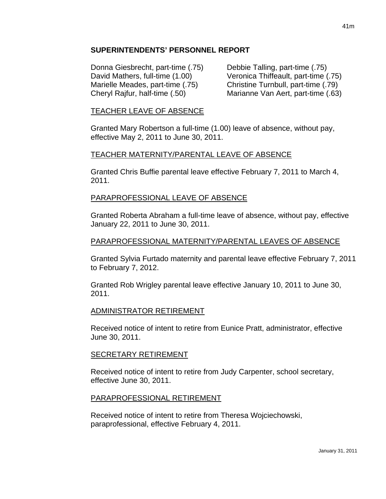#### **SUPERINTENDENTS' PERSONNEL REPORT**

Donna Giesbrecht, part-time (.75) Debbie Talling, part-time (.75)

David Mathers, full-time (1.00) Veronica Thiffeault, part-time (.75) Marielle Meades, part-time (.75) Christine Turnbull, part-time (.79) Cheryl Rajfur, half-time (.50) Marianne Van Aert, part-time (.63)

### TEACHER LEAVE OF ABSENCE

Granted Mary Robertson a full-time (1.00) leave of absence, without pay, effective May 2, 2011 to June 30, 2011.

### TEACHER MATERNITY/PARENTAL LEAVE OF ABSENCE

Granted Chris Buffie parental leave effective February 7, 2011 to March 4, 2011.

### PARAPROFESSIONAL LEAVE OF ABSENCE

Granted Roberta Abraham a full-time leave of absence, without pay, effective January 22, 2011 to June 30, 2011.

### PARAPROFESSIONAL MATERNITY/PARENTAL LEAVES OF ABSENCE

Granted Sylvia Furtado maternity and parental leave effective February 7, 2011 to February 7, 2012.

Granted Rob Wrigley parental leave effective January 10, 2011 to June 30, 2011.

#### ADMINISTRATOR RETIREMENT

Received notice of intent to retire from Eunice Pratt, administrator, effective June 30, 2011.

#### SECRETARY RETIREMENT

Received notice of intent to retire from Judy Carpenter, school secretary, effective June 30, 2011.

#### PARAPROFESSIONAL RETIREMENT

Received notice of intent to retire from Theresa Wojciechowski, paraprofessional, effective February 4, 2011.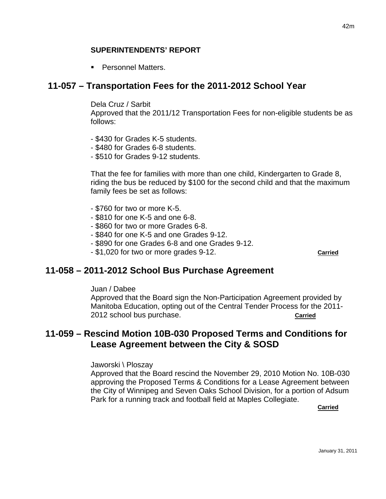#### **SUPERINTENDENTS' REPORT**

**Personnel Matters.** 

## **11-057 – Transportation Fees for the 2011-2012 School Year**

Dela Cruz / Sarbit

Approved that the 2011/12 Transportation Fees for non-eligible students be as follows:

- \$430 for Grades K-5 students.
- \$480 for Grades 6-8 students.
- \$510 for Grades 9-12 students.

That the fee for families with more than one child, Kindergarten to Grade 8, riding the bus be reduced by \$100 for the second child and that the maximum family fees be set as follows:

- \$760 for two or more K-5.
- \$810 for one K-5 and one 6-8.
- \$860 for two or more Grades 6-8.
- \$840 for one K-5 and one Grades 9-12.
- \$890 for one Grades 6-8 and one Grades 9-12.
- \$1,020 for two or more grades 9-12. **Carried**

### **11-058 – 2011-2012 School Bus Purchase Agreement**

Juan / Dabee

Approved that the Board sign the Non-Participation Agreement provided by Manitoba Education, opting out of the Central Tender Process for the 2011- 2012 school bus purchase. **Carried**

# **11-059 – Rescind Motion 10B-030 Proposed Terms and Conditions for Lease Agreement between the City & SOSD**

Jaworski \ Ploszay

Approved that the Board rescind the November 29, 2010 Motion No. 10B-030 approving the Proposed Terms & Conditions for a Lease Agreement between the City of Winnipeg and Seven Oaks School Division, for a portion of Adsum Park for a running track and football field at Maples Collegiate.

**Carried**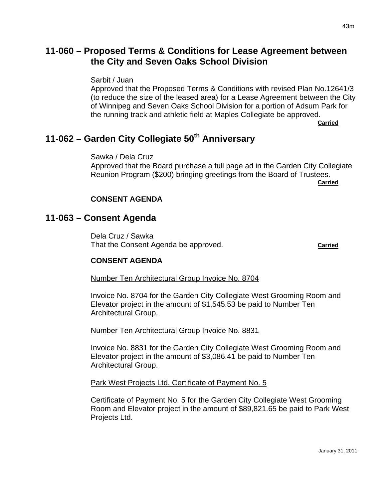# **11-060 – Proposed Terms & Conditions for Lease Agreement between the City and Seven Oaks School Division**

Sarbit / Juan

Approved that the Proposed Terms & Conditions with revised Plan No.12641/3 (to reduce the size of the leased area) for a Lease Agreement between the City of Winnipeg and Seven Oaks School Division for a portion of Adsum Park for the running track and athletic field at Maples Collegiate be approved.

**Carried**

# **11-062 – Garden City Collegiate 50th Anniversary**

Sawka / Dela Cruz Approved that the Board purchase a full page ad in the Garden City Collegiate Reunion Program (\$200) bringing greetings from the Board of Trustees.

**Carried**

#### **CONSENT AGENDA**

### **11-063 – Consent Agenda**

Dela Cruz / Sawka That the Consent Agenda be approved. That the Consent Agenda be approved.

#### **CONSENT AGENDA**

Number Ten Architectural Group Invoice No. 8704

Invoice No. 8704 for the Garden City Collegiate West Grooming Room and Elevator project in the amount of \$1,545.53 be paid to Number Ten Architectural Group.

Number Ten Architectural Group Invoice No. 8831

Invoice No. 8831 for the Garden City Collegiate West Grooming Room and Elevator project in the amount of \$3,086.41 be paid to Number Ten Architectural Group.

#### Park West Projects Ltd. Certificate of Payment No. 5

Certificate of Payment No. 5 for the Garden City Collegiate West Grooming Room and Elevator project in the amount of \$89,821.65 be paid to Park West Projects Ltd.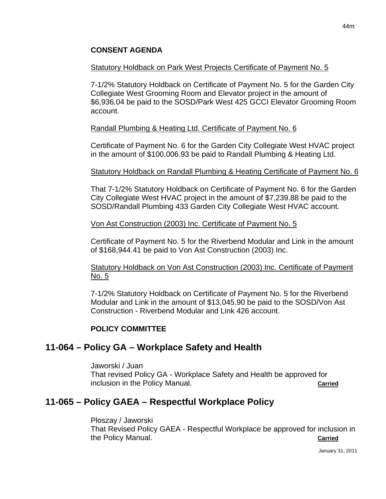### **CONSENT AGENDA**

#### Statutory Holdback on Park West Projects Certificate of Payment No. 5

7-1/2% Statutory Holdback on Certificate of Payment No. 5 for the Garden City Collegiate West Grooming Room and Elevator project in the amount of \$6,936.04 be paid to the SOSD/Park West 425 GCCI Elevator Grooming Room account.

#### Randall Plumbing & Heating Ltd. Certificate of Payment No. 6

Certificate of Payment No. 6 for the Garden City Collegiate West HVAC project in the amount of \$100,006.93 be paid to Randall Plumbing & Heating Ltd.

#### Statutory Holdback on Randall Plumbing & Heating Certificate of Payment No. 6

That 7-1/2% Statutory Holdback on Certificate of Payment No. 6 for the Garden City Collegiate West HVAC project in the amount of \$7,239.88 be paid to the SOSD/Randall Plumbing 433 Garden City Collegiate West HVAC account.

#### Von Ast Construction (2003) Inc. Certificate of Payment No. 5

Certificate of Payment No. 5 for the Riverbend Modular and Link in the amount of \$168,944.41 be paid to Von Ast Construction (2003) Inc.

### Statutory Holdback on Von Ast Construction (2003) Inc. Certificate of Payment No. 5

7-1/2% Statutory Holdback on Certificate of Payment No. 5 for the Riverbend Modular and Link in the amount of \$13,045.90 be paid to the SOSD/Von Ast Construction - Riverbend Modular and Link 426 account.

### **POLICY COMMITTEE**

# **11-064 – Policy GA – Workplace Safety and Health**

Jaworski / Juan

That revised Policy GA - Workplace Safety and Health be approved for inclusion in the Policy Manual. **Carried**

# **11-065 – Policy GAEA – Respectful Workplace Policy**

Ploszay / Jaworski That Revised Policy GAEA - Respectful Workplace be approved for inclusion in the Policy Manual. **Carried**

January 31, 2011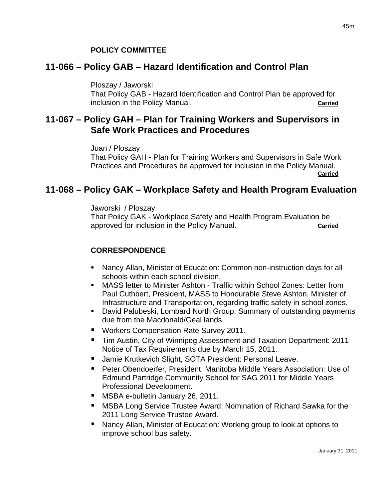#### **POLICY COMMITTEE**

## **11-066 – Policy GAB – Hazard Identification and Control Plan**

Ploszay / Jaworski

That Policy GAB - Hazard Identification and Control Plan be approved for inclusion in the Policy Manual. **Carried Carried** 

# **11-067 – Policy GAH – Plan for Training Workers and Supervisors in Safe Work Practices and Procedures**

Juan / Ploszay That Policy GAH - Plan for Training Workers and Supervisors in Safe Work Practices and Procedures be approved for inclusion in the Policy Manual. *Carried* 

# **11-068 – Policy GAK – Workplace Safety and Health Program Evaluation**

#### Jaworski / Ploszay

That Policy GAK - Workplace Safety and Health Program Evaluation be approved for inclusion in the Policy Manual. **Carried**

### **CORRESPONDENCE**

- Nancy Allan, Minister of Education: Common non-instruction days for all schools within each school division.
- MASS letter to Minister Ashton Traffic within School Zones: Letter from Paul Cuthbert, President, MASS to Honourable Steve Ashton, Minister of Infrastructure and Transportation, regarding traffic safety in school zones.
- David Palubeski, Lombard North Group: Summary of outstanding payments due from the Macdonald/Geal lands.
- Workers Compensation Rate Survey 2011.
- Tim Austin, City of Winnipeg Assessment and Taxation Department: 2011 Notice of Tax Requirements due by March 15, 2011.
- Jamie Krutkevich Slight, SOTA President: Personal Leave.
- Peter Obendoerfer, President, Manitoba Middle Years Association: Use of Edmund Partridge Community School for SAG 2011 for Middle Years Professional Development.
- **MSBA e-bulletin January 26, 2011.**
- **MSBA Long Service Trustee Award: Nomination of Richard Sawka for the** 2011 Long Service Trustee Award.
- Nancy Allan, Minister of Education: Working group to look at options to improve school bus safety.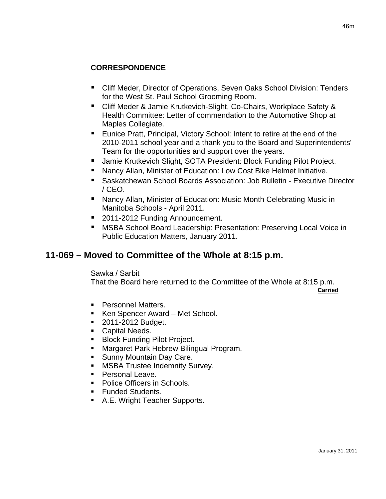## **CORRESPONDENCE**

- Cliff Meder, Director of Operations, Seven Oaks School Division: Tenders for the West St. Paul School Grooming Room.
- Cliff Meder & Jamie Krutkevich-Slight, Co-Chairs, Workplace Safety & Health Committee: Letter of commendation to the Automotive Shop at Maples Collegiate.
- **Eunice Pratt, Principal, Victory School: Intent to retire at the end of the** 2010-2011 school year and a thank you to the Board and Superintendents' Team for the opportunities and support over the years.
- Jamie Krutkevich Slight, SOTA President: Block Funding Pilot Project.
- Nancy Allan, Minister of Education: Low Cost Bike Helmet Initiative.
- Saskatchewan School Boards Association: Job Bulletin Executive Director / CEO.
- Nancy Allan, Minister of Education: Music Month Celebrating Music in Manitoba Schools - April 2011.
- 2011-2012 Funding Announcement.
- MSBA School Board Leadership: Presentation: Preserving Local Voice in Public Education Matters, January 2011.

# **11-069 – Moved to Committee of the Whole at 8:15 p.m.**

Sawka / Sarbit

That the Board here returned to the Committee of the Whole at 8:15 p.m.

**Carried**

- Personnel Matters.
- Ken Spencer Award Met School.
- **2011-2012 Budget.**
- Capital Needs.
- **Block Funding Pilot Project.**
- **Margaret Park Hebrew Bilingual Program.**
- **Sunny Mountain Day Care.**
- **MSBA Trustee Indemnity Survey.**
- **Personal Leave.**
- **Police Officers in Schools.**
- **Funded Students.**
- A.E. Wright Teacher Supports.